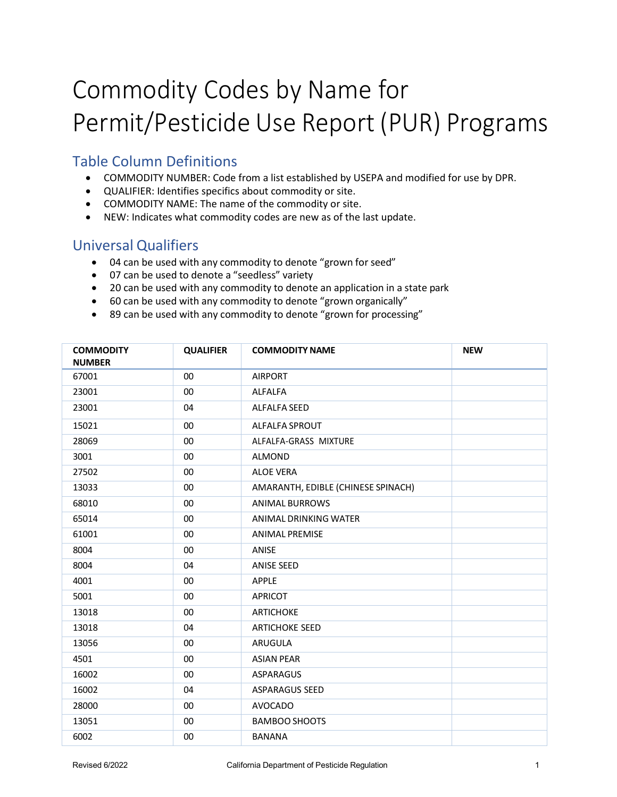## Commodity Codes by Name for Permit/Pesticide Use Report (PUR) Programs

## Table Column Definitions

- COMMODITY NUMBER: Code from a list established by USEPA and modified for use by DPR.
- QUALIFIER: Identifies specifics about commodity or site.
- COMMODITY NAME: The name of the commodity or site.
- NEW: Indicates what commodity codes are new as of the last update.

## Universal Qualifiers

- 04 can be used with any commodity to denote "grown for seed"
- 07 can be used to denote a "seedless" variety
- 20 can be used with any commodity to denote an application in a state park
- 60 can be used with any commodity to denote "grown organically"
- 89 can be used with any commodity to denote "grown for processing"

| <b>COMMODITY</b><br><b>NUMBER</b> | <b>QUALIFIER</b> | <b>COMMODITY NAME</b>              | <b>NEW</b> |
|-----------------------------------|------------------|------------------------------------|------------|
| 67001                             | 00               | <b>AIRPORT</b>                     |            |
| 23001                             | 00               | <b>ALFALFA</b>                     |            |
| 23001                             | 04               | <b>ALFALFA SEED</b>                |            |
| 15021                             | 00               | ALFALFA SPROUT                     |            |
| 28069                             | 00               | ALFALFA-GRASS MIXTURE              |            |
| 3001                              | 00               | ALMOND                             |            |
| 27502                             | 00               | <b>ALOE VERA</b>                   |            |
| 13033                             | $00\,$           | AMARANTH, EDIBLE (CHINESE SPINACH) |            |
| 68010                             | 00               | <b>ANIMAL BURROWS</b>              |            |
| 65014                             | 00               | ANIMAL DRINKING WATER              |            |
| 61001                             | 00               | <b>ANIMAL PREMISE</b>              |            |
| 8004                              | 00               | ANISE                              |            |
| 8004                              | 04               | <b>ANISE SEED</b>                  |            |
| 4001                              | 00               | <b>APPLE</b>                       |            |
| 5001                              | 00               | APRICOT                            |            |
| 13018                             | 00               | <b>ARTICHOKE</b>                   |            |
| 13018                             | 04               | <b>ARTICHOKE SEED</b>              |            |
| 13056                             | 00               | ARUGULA                            |            |
| 4501                              | 00               | <b>ASIAN PEAR</b>                  |            |
| 16002                             | 00               | ASPARAGUS                          |            |
| 16002                             | 04               | <b>ASPARAGUS SEED</b>              |            |
| 28000                             | 00               | <b>AVOCADO</b>                     |            |
| 13051                             | 00               | <b>BAMBOO SHOOTS</b>               |            |
| 6002                              | $00\,$           | <b>BANANA</b>                      |            |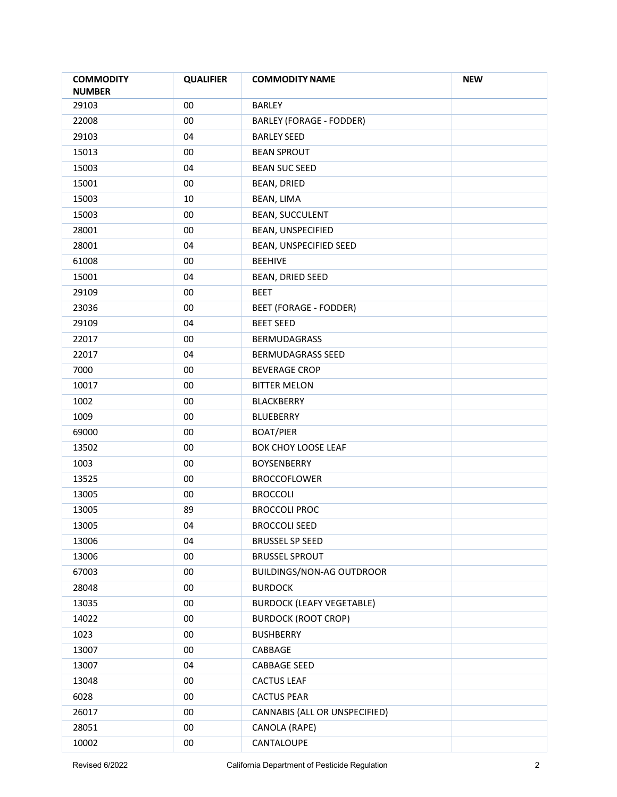| <b>COMMODITY</b><br><b>NUMBER</b> | <b>QUALIFIER</b> | <b>COMMODITY NAME</b>            | <b>NEW</b> |
|-----------------------------------|------------------|----------------------------------|------------|
| 29103                             | 00               | <b>BARLEY</b>                    |            |
| 22008                             | $00\,$           | <b>BARLEY (FORAGE - FODDER)</b>  |            |
| 29103                             | 04               | <b>BARLEY SEED</b>               |            |
| 15013                             | 00               | <b>BEAN SPROUT</b>               |            |
| 15003                             | 04               | <b>BEAN SUC SEED</b>             |            |
| 15001                             | 00               | <b>BEAN, DRIED</b>               |            |
| 15003                             | 10               | BEAN, LIMA                       |            |
| 15003                             | 00               | <b>BEAN, SUCCULENT</b>           |            |
| 28001                             | 00               | BEAN, UNSPECIFIED                |            |
| 28001                             | 04               | BEAN, UNSPECIFIED SEED           |            |
| 61008                             | 00               | <b>BEEHIVE</b>                   |            |
| 15001                             | 04               | BEAN, DRIED SEED                 |            |
| 29109                             | 00               | <b>BEET</b>                      |            |
| 23036                             | 00               | <b>BEET (FORAGE - FODDER)</b>    |            |
| 29109                             | 04               | <b>BEET SEED</b>                 |            |
| 22017                             | 00               | <b>BERMUDAGRASS</b>              |            |
| 22017                             | 04               | BERMUDAGRASS SEED                |            |
| 7000                              | 00               | <b>BEVERAGE CROP</b>             |            |
| 10017                             | $00\,$           | <b>BITTER MELON</b>              |            |
| 1002                              | 00               | <b>BLACKBERRY</b>                |            |
| 1009                              | 00               | <b>BLUEBERRY</b>                 |            |
| 69000                             | 00               | <b>BOAT/PIER</b>                 |            |
| 13502                             | 00               | BOK CHOY LOOSE LEAF              |            |
| 1003                              | 00               | <b>BOYSENBERRY</b>               |            |
| 13525                             | 00               | <b>BROCCOFLOWER</b>              |            |
| 13005                             | $00\,$           | <b>BROCCOLI</b>                  |            |
| 13005                             | 89               | <b>BROCCOLI PROC</b>             |            |
| 13005                             | 04               | <b>BROCCOLI SEED</b>             |            |
| 13006                             | 04               | <b>BRUSSEL SP SEED</b>           |            |
| 13006                             | $00\,$           | <b>BRUSSEL SPROUT</b>            |            |
| 67003                             | $00\,$           | <b>BUILDINGS/NON-AG OUTDROOR</b> |            |
| 28048                             | $00\,$           | <b>BURDOCK</b>                   |            |
| 13035                             | $00\,$           | <b>BURDOCK (LEAFY VEGETABLE)</b> |            |
| 14022                             | $00\,$           | <b>BURDOCK (ROOT CROP)</b>       |            |
| 1023                              | $00\,$           | <b>BUSHBERRY</b>                 |            |
| 13007                             | 00               | CABBAGE                          |            |
| 13007                             | 04               | <b>CABBAGE SEED</b>              |            |
| 13048                             | $00\,$           | <b>CACTUS LEAF</b>               |            |
| 6028                              | $00\,$           | <b>CACTUS PEAR</b>               |            |
| 26017                             | $00\,$           | CANNABIS (ALL OR UNSPECIFIED)    |            |
| 28051                             | $00\,$           | CANOLA (RAPE)                    |            |
| 10002                             | $00\,$           | CANTALOUPE                       |            |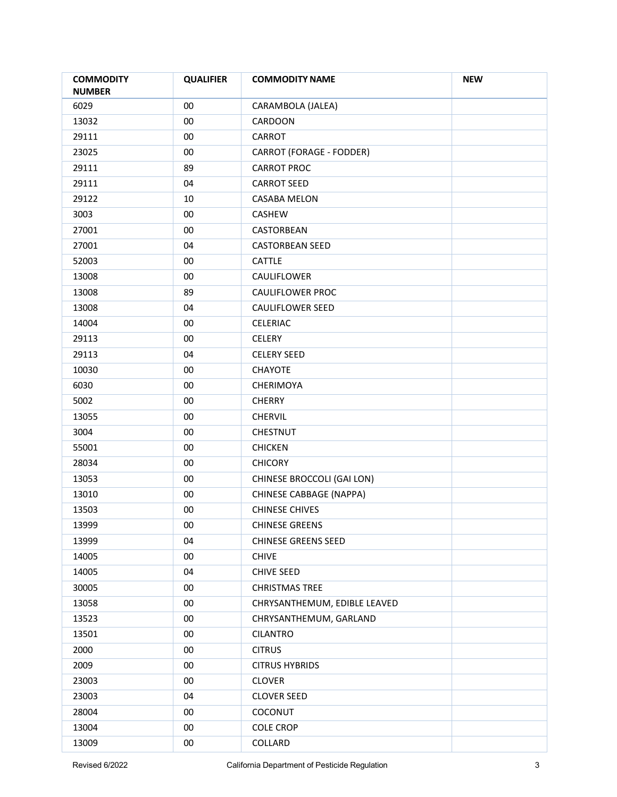| <b>COMMODITY</b><br><b>NUMBER</b> | <b>QUALIFIER</b> | <b>COMMODITY NAME</b>        | <b>NEW</b> |
|-----------------------------------|------------------|------------------------------|------------|
| 6029                              | 00               | CARAMBOLA (JALEA)            |            |
| 13032                             | $00\,$           | CARDOON                      |            |
| 29111                             | $00\,$           | CARROT                       |            |
| 23025                             | $00\,$           | CARROT (FORAGE - FODDER)     |            |
| 29111                             | 89               | <b>CARROT PROC</b>           |            |
| 29111                             | 04               | <b>CARROT SEED</b>           |            |
| 29122                             | 10               | CASABA MELON                 |            |
| 3003                              | $00\,$           | CASHEW                       |            |
| 27001                             | $00\,$           | CASTORBEAN                   |            |
| 27001                             | 04               | <b>CASTORBEAN SEED</b>       |            |
| 52003                             | $00\,$           | CATTLE                       |            |
| 13008                             | $00\,$           | CAULIFLOWER                  |            |
| 13008                             | 89               | <b>CAULIFLOWER PROC</b>      |            |
| 13008                             | 04               | <b>CAULIFLOWER SEED</b>      |            |
| 14004                             | $00\,$           | CELERIAC                     |            |
| 29113                             | $00\,$           | <b>CELERY</b>                |            |
| 29113                             | 04               | <b>CELERY SEED</b>           |            |
| 10030                             | 00               | <b>CHAYOTE</b>               |            |
| 6030                              | $00\,$           | CHERIMOYA                    |            |
| 5002                              | 00               | <b>CHERRY</b>                |            |
| 13055                             | 00               | CHERVIL                      |            |
| 3004                              | 00               | CHESTNUT                     |            |
| 55001                             | $00\,$           | <b>CHICKEN</b>               |            |
| 28034                             | 00               | <b>CHICORY</b>               |            |
| 13053                             | $00\,$           | CHINESE BROCCOLI (GAI LON)   |            |
| 13010                             | 00               | CHINESE CABBAGE (NAPPA)      |            |
| 13503                             | $00\,$           | <b>CHINESE CHIVES</b>        |            |
| 13999                             | <sub>00</sub>    | <b>CHINESE GREENS</b>        |            |
| 13999                             | 04               | <b>CHINESE GREENS SEED</b>   |            |
| 14005                             | $00\,$           | <b>CHIVE</b>                 |            |
| 14005                             | 04               | <b>CHIVE SEED</b>            |            |
| 30005                             | $00\,$           | <b>CHRISTMAS TREE</b>        |            |
| 13058                             | $00\,$           | CHRYSANTHEMUM, EDIBLE LEAVED |            |
| 13523                             | $00\,$           | CHRYSANTHEMUM, GARLAND       |            |
| 13501                             | $00\,$           | <b>CILANTRO</b>              |            |
| 2000                              | $00\,$           | <b>CITRUS</b>                |            |
| 2009                              | $00\,$           | <b>CITRUS HYBRIDS</b>        |            |
| 23003                             | $00\,$           | <b>CLOVER</b>                |            |
| 23003                             | 04               | <b>CLOVER SEED</b>           |            |
| 28004                             | $00\,$           | COCONUT                      |            |
| 13004                             | $00\,$           | <b>COLE CROP</b>             |            |
| 13009                             | $00\,$           | COLLARD                      |            |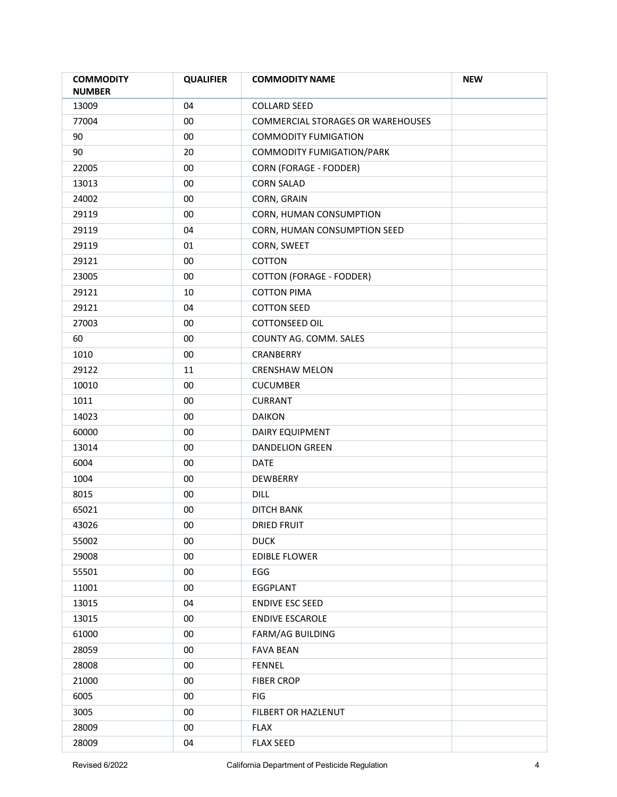| <b>COMMODITY</b><br><b>NUMBER</b> | <b>QUALIFIER</b> | <b>COMMODITY NAME</b>             | <b>NEW</b> |
|-----------------------------------|------------------|-----------------------------------|------------|
| 13009                             | 04               | <b>COLLARD SEED</b>               |            |
| 77004                             | $00\,$           | COMMERCIAL STORAGES OR WAREHOUSES |            |
| 90                                | $00\,$           | <b>COMMODITY FUMIGATION</b>       |            |
| 90                                | 20               | COMMODITY FUMIGATION/PARK         |            |
| 22005                             | 00               | <b>CORN (FORAGE - FODDER)</b>     |            |
| 13013                             | 00               | <b>CORN SALAD</b>                 |            |
| 24002                             | 00               | CORN, GRAIN                       |            |
| 29119                             | 00               | CORN, HUMAN CONSUMPTION           |            |
| 29119                             | 04               | CORN, HUMAN CONSUMPTION SEED      |            |
| 29119                             | 01               | CORN, SWEET                       |            |
| 29121                             | $00\,$           | COTTON                            |            |
| 23005                             | $00\,$           | <b>COTTON (FORAGE - FODDER)</b>   |            |
| 29121                             | 10               | <b>COTTON PIMA</b>                |            |
| 29121                             | 04               | <b>COTTON SEED</b>                |            |
| 27003                             | 00               | COTTONSEED OIL                    |            |
| 60                                | $00\,$           | COUNTY AG. COMM. SALES            |            |
| 1010                              | $00\,$           | CRANBERRY                         |            |
| 29122                             | 11               | <b>CRENSHAW MELON</b>             |            |
| 10010                             | $00\,$           | <b>CUCUMBER</b>                   |            |
| 1011                              | 00               | <b>CURRANT</b>                    |            |
| 14023                             | $00\,$           | <b>DAIKON</b>                     |            |
| 60000                             | 00               | DAIRY EQUIPMENT                   |            |
| 13014                             | $00\,$           | <b>DANDELION GREEN</b>            |            |
| 6004                              | 00               | <b>DATE</b>                       |            |
| 1004                              | $00\,$           | DEWBERRY                          |            |
| 8015                              | $00\,$           | <b>DILL</b>                       |            |
| 65021                             | 00               | <b>DITCH BANK</b>                 |            |
| 43026                             | $00\,$           | <b>DRIED FRUIT</b>                |            |
| 55002                             | $00\,$           | <b>DUCK</b>                       |            |
| 29008                             | $00\,$           | <b>EDIBLE FLOWER</b>              |            |
| 55501                             | $00\,$           | EGG                               |            |
| 11001                             | $00\,$           | EGGPLANT                          |            |
| 13015                             | 04               | <b>ENDIVE ESC SEED</b>            |            |
| 13015                             | $00\,$           | <b>ENDIVE ESCAROLE</b>            |            |
| 61000                             | $00\,$           | <b>FARM/AG BUILDING</b>           |            |
| 28059                             | $00\,$           | <b>FAVA BEAN</b>                  |            |
| 28008                             | $00\,$           | FENNEL                            |            |
| 21000                             | $00\,$           | <b>FIBER CROP</b>                 |            |
| 6005                              | $00\,$           | FIG                               |            |
| 3005                              | $00\,$           | FILBERT OR HAZLENUT               |            |
| 28009                             | $00\,$           | <b>FLAX</b>                       |            |
| 28009                             | 04               | <b>FLAX SEED</b>                  |            |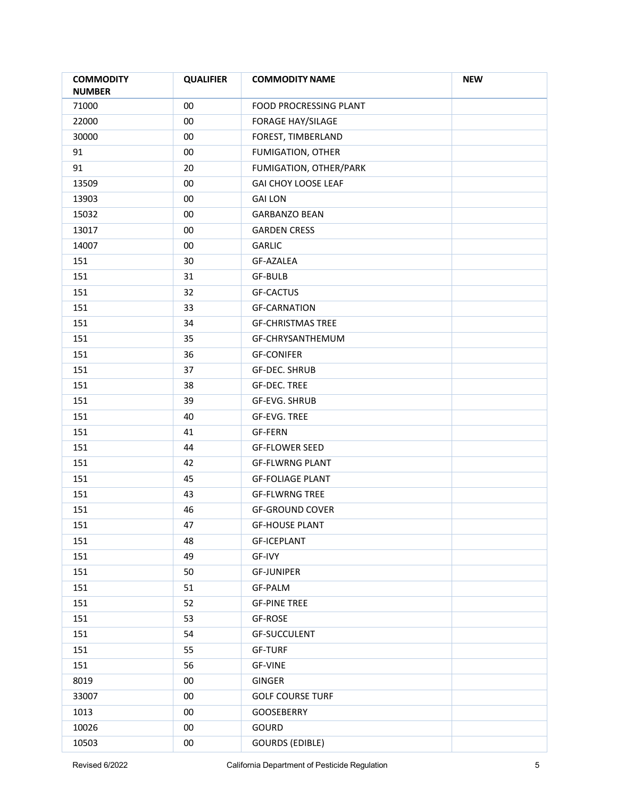| <b>COMMODITY</b><br><b>NUMBER</b> | <b>QUALIFIER</b> | <b>COMMODITY NAME</b>      | <b>NEW</b> |
|-----------------------------------|------------------|----------------------------|------------|
| 71000                             | $00\,$           | FOOD PROCRESSING PLANT     |            |
| 22000                             | $00\,$           | <b>FORAGE HAY/SILAGE</b>   |            |
| 30000                             | $00\,$           | FOREST, TIMBERLAND         |            |
| 91                                | $00\,$           | FUMIGATION, OTHER          |            |
| 91                                | 20               | FUMIGATION, OTHER/PARK     |            |
| 13509                             | $00\,$           | <b>GAI CHOY LOOSE LEAF</b> |            |
| 13903                             | $00\,$           | <b>GAI LON</b>             |            |
| 15032                             | $00\,$           | <b>GARBANZO BEAN</b>       |            |
| 13017                             | $00\,$           | <b>GARDEN CRESS</b>        |            |
| 14007                             | 00               | <b>GARLIC</b>              |            |
| 151                               | 30               | GF-AZALEA                  |            |
| 151                               | 31               | <b>GF-BULB</b>             |            |
| 151                               | 32               | <b>GF-CACTUS</b>           |            |
| 151                               | 33               | <b>GF-CARNATION</b>        |            |
| 151                               | 34               | <b>GF-CHRISTMAS TREE</b>   |            |
| 151                               | 35               | GF-CHRYSANTHEMUM           |            |
| 151                               | 36               | <b>GF-CONIFER</b>          |            |
| 151                               | 37               | <b>GF-DEC. SHRUB</b>       |            |
| 151                               | 38               | <b>GF-DEC. TREE</b>        |            |
| 151                               | 39               | GF-EVG. SHRUB              |            |
| 151                               | 40               | GF-EVG. TREE               |            |
| 151                               | 41               | <b>GF-FERN</b>             |            |
| 151                               | 44               | <b>GF-FLOWER SEED</b>      |            |
| 151                               | 42               | <b>GF-FLWRNG PLANT</b>     |            |
| 151                               | 45               | <b>GF-FOLIAGE PLANT</b>    |            |
| 151                               | 43               | <b>GF-FLWRNG TREE</b>      |            |
| 151                               | 46               | <b>GF-GROUND COVER</b>     |            |
| 151                               | 47               | <b>GF-HOUSE PLANT</b>      |            |
| 151                               | 48               | <b>GF-ICEPLANT</b>         |            |
| 151                               | 49               | GF-IVY                     |            |
| 151                               | 50               | <b>GF-JUNIPER</b>          |            |
| 151                               | 51               | GF-PALM                    |            |
| 151                               | 52               | <b>GF-PINE TREE</b>        |            |
| 151                               | 53               | GF-ROSE                    |            |
| 151                               | 54               | <b>GF-SUCCULENT</b>        |            |
| 151                               | 55               | <b>GF-TURF</b>             |            |
| 151                               | 56               | GF-VINE                    |            |
| 8019                              | $00\,$           | GINGER                     |            |
| 33007                             | $00\,$           | <b>GOLF COURSE TURF</b>    |            |
| 1013                              | $00\,$           | GOOSEBERRY                 |            |
| 10026                             | $00\,$           | GOURD                      |            |
| 10503                             | $00\,$           | <b>GOURDS (EDIBLE)</b>     |            |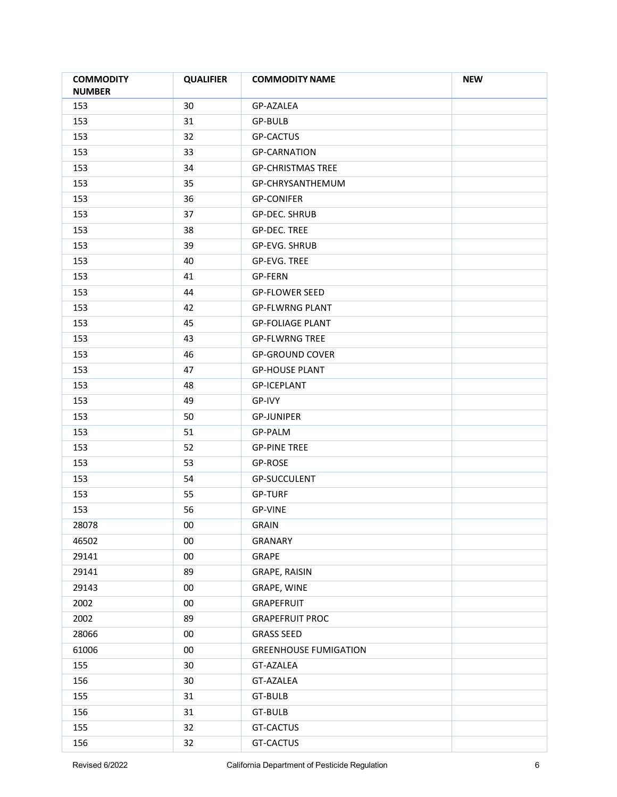| <b>NUMBER</b>                                   |  |
|-------------------------------------------------|--|
| 153<br>30<br>GP-AZALEA                          |  |
| 153<br>31<br>GP-BULB                            |  |
| 153<br>32<br><b>GP-CACTUS</b>                   |  |
| 153<br>33<br><b>GP-CARNATION</b>                |  |
| 153<br>34<br><b>GP-CHRISTMAS TREE</b>           |  |
| 153<br>35<br>GP-CHRYSANTHEMUM                   |  |
| 36<br>153<br><b>GP-CONIFER</b>                  |  |
| 153<br>37<br>GP-DEC. SHRUB                      |  |
| 153<br>38<br>GP-DEC. TREE                       |  |
| 153<br>GP-EVG. SHRUB<br>39                      |  |
| 153<br>40<br>GP-EVG. TREE                       |  |
| <b>GP-FERN</b>                                  |  |
| 153<br>41                                       |  |
| 153<br>44<br><b>GP-FLOWER SEED</b>              |  |
| 153<br>42<br><b>GP-FLWRNG PLANT</b>             |  |
| 153<br>45<br><b>GP-FOLIAGE PLANT</b>            |  |
| 153<br>43<br><b>GP-FLWRNG TREE</b>              |  |
| 153<br>46<br><b>GP-GROUND COVER</b>             |  |
| 153<br><b>GP-HOUSE PLANT</b><br>47              |  |
| 153<br>48<br><b>GP-ICEPLANT</b>                 |  |
| 153<br>49<br>GP-IVY                             |  |
| 153<br>50<br><b>GP-JUNIPER</b>                  |  |
| 153<br>51<br>GP-PALM                            |  |
| 153<br>52<br><b>GP-PINE TREE</b>                |  |
| 153<br>53<br>GP-ROSE                            |  |
| GP-SUCCULENT<br>153<br>54                       |  |
| 153<br>55<br><b>GP-TURF</b>                     |  |
| 153<br>56<br><b>GP-VINE</b>                     |  |
| 28078<br>$00\,$<br><b>GRAIN</b>                 |  |
| 46502<br>$00\,$<br>GRANARY                      |  |
| 29141<br>$00\,$<br>GRAPE                        |  |
| 29141<br>89<br>GRAPE, RAISIN                    |  |
| 29143<br>$00\,$<br>GRAPE, WINE                  |  |
| 2002<br>$00\,$<br>GRAPEFRUIT                    |  |
| 2002<br>89<br><b>GRAPEFRUIT PROC</b>            |  |
| 28066<br>$00\,$<br><b>GRASS SEED</b>            |  |
| 61006<br>$00\,$<br><b>GREENHOUSE FUMIGATION</b> |  |
| 155<br>GT-AZALEA<br>30                          |  |
| 156<br>30<br>GT-AZALEA                          |  |
| 155<br>31<br>GT-BULB                            |  |
| 156<br>31<br>GT-BULB                            |  |
| 32<br>155<br>GT-CACTUS                          |  |
| 32<br>GT-CACTUS<br>156                          |  |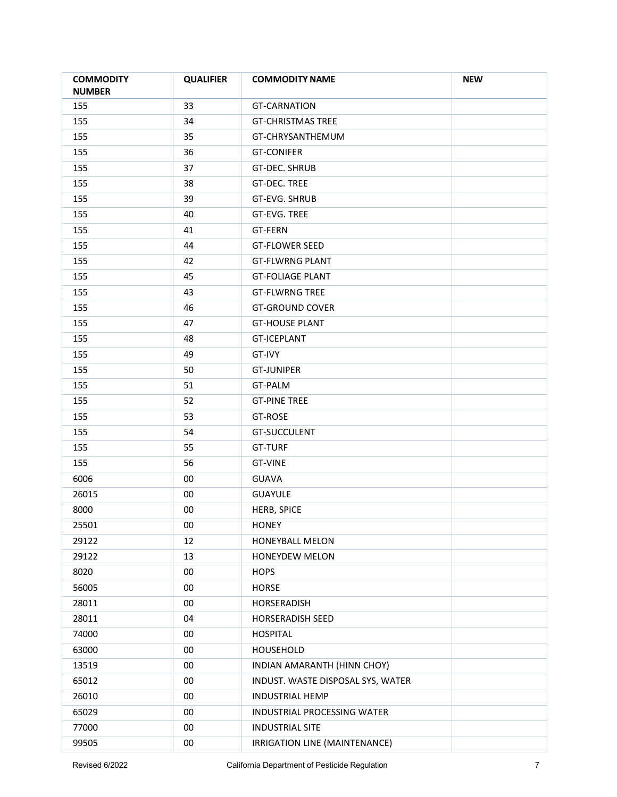| <b>COMMODITY</b><br><b>NUMBER</b> | <b>QUALIFIER</b> | <b>COMMODITY NAME</b>             | <b>NEW</b> |
|-----------------------------------|------------------|-----------------------------------|------------|
| 155                               | 33               | <b>GT-CARNATION</b>               |            |
| 155                               | 34               | <b>GT-CHRISTMAS TREE</b>          |            |
| 155                               | 35               | GT-CHRYSANTHEMUM                  |            |
| 155                               | 36               | <b>GT-CONIFER</b>                 |            |
| 155                               | 37               | <b>GT-DEC. SHRUB</b>              |            |
| 155                               | 38               | <b>GT-DEC. TREE</b>               |            |
| 155                               | 39               | GT-EVG. SHRUB                     |            |
| 155                               | 40               | <b>GT-EVG. TREE</b>               |            |
| 155                               | 41               | GT-FERN                           |            |
| 155                               | 44               | <b>GT-FLOWER SEED</b>             |            |
| 155                               | 42               | <b>GT-FLWRNG PLANT</b>            |            |
| 155                               | 45               | <b>GT-FOLIAGE PLANT</b>           |            |
| 155                               | 43               | <b>GT-FLWRNG TREE</b>             |            |
| 155                               | 46               | <b>GT-GROUND COVER</b>            |            |
| 155                               | 47               | <b>GT-HOUSE PLANT</b>             |            |
| 155                               | 48               | <b>GT-ICEPLANT</b>                |            |
| 155                               | 49               | GT-IVY                            |            |
| 155                               | 50               | <b>GT-JUNIPER</b>                 |            |
| 155                               | 51               | GT-PALM                           |            |
| 155                               | 52               | <b>GT-PINE TREE</b>               |            |
| 155                               | 53               | GT-ROSE                           |            |
| 155                               | 54               | GT-SUCCULENT                      |            |
| 155                               | 55               | <b>GT-TURF</b>                    |            |
| 155                               | 56               | <b>GT-VINE</b>                    |            |
| 6006                              | $00\,$           | <b>GUAVA</b>                      |            |
| 26015                             | $00\,$           | <b>GUAYULE</b>                    |            |
| 8000                              | $00\,$           | <b>HERB, SPICE</b>                |            |
| 25501                             | <sub>00</sub>    | <b>HONEY</b>                      |            |
| 29122                             | 12               | HONEYBALL MELON                   |            |
| 29122                             | 13               | HONEYDEW MELON                    |            |
| 8020                              | $00\,$           | <b>HOPS</b>                       |            |
| 56005                             | $00\,$           | <b>HORSE</b>                      |            |
| 28011                             | $00\,$           | HORSERADISH                       |            |
| 28011                             | 04               | HORSERADISH SEED                  |            |
| 74000                             | $00\,$           | <b>HOSPITAL</b>                   |            |
| 63000                             | $00\,$           | HOUSEHOLD                         |            |
| 13519                             | $00\,$           | INDIAN AMARANTH (HINN CHOY)       |            |
| 65012                             | $00\,$           | INDUST. WASTE DISPOSAL SYS, WATER |            |
| 26010                             | $00\,$           | <b>INDUSTRIAL HEMP</b>            |            |
| 65029                             | $00\,$           | INDUSTRIAL PROCESSING WATER       |            |
| 77000                             | $00\,$           | <b>INDUSTRIAL SITE</b>            |            |
| 99505                             | $00\,$           | IRRIGATION LINE (MAINTENANCE)     |            |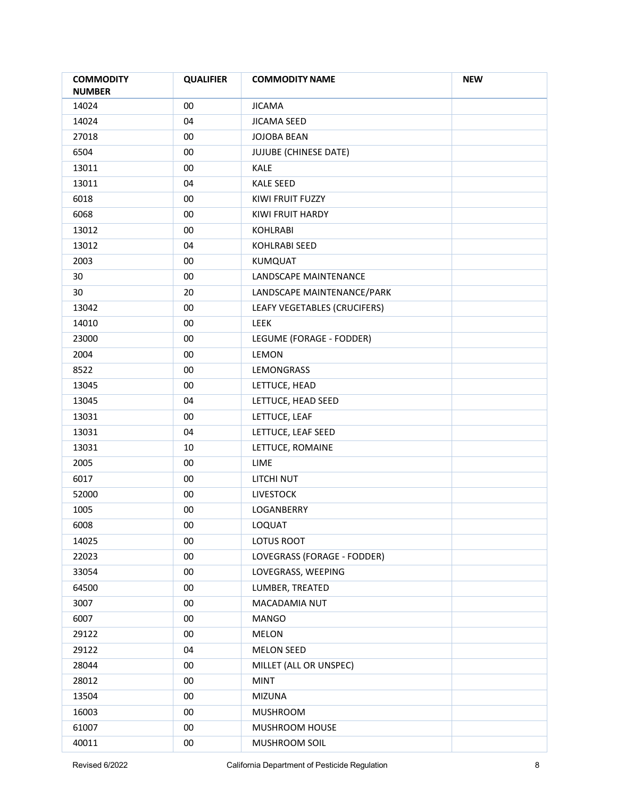| <b>COMMODITY</b><br><b>NUMBER</b> | <b>QUALIFIER</b> | <b>COMMODITY NAME</b>        | <b>NEW</b> |
|-----------------------------------|------------------|------------------------------|------------|
| 14024                             | 00               | <b>JICAMA</b>                |            |
| 14024                             | 04               | <b>JICAMA SEED</b>           |            |
| 27018                             | $00\,$           | <b>JOJOBA BEAN</b>           |            |
| 6504                              | $00\,$           | JUJUBE (CHINESE DATE)        |            |
| 13011                             | $00\,$           | KALE                         |            |
| 13011                             | 04               | <b>KALE SEED</b>             |            |
| 6018                              | $00\,$           | KIWI FRUIT FUZZY             |            |
| 6068                              | $00\,$           | KIWI FRUIT HARDY             |            |
| 13012                             | $00\,$           | <b>KOHLRABI</b>              |            |
| 13012                             | 04               | <b>KOHLRABI SEED</b>         |            |
| 2003                              | $00\,$           | KUMQUAT                      |            |
| 30                                | $00\,$           | LANDSCAPE MAINTENANCE        |            |
| 30                                | 20               | LANDSCAPE MAINTENANCE/PARK   |            |
| 13042                             | $00\,$           | LEAFY VEGETABLES (CRUCIFERS) |            |
| 14010                             | $00\,$           | LEEK                         |            |
| 23000                             | $00\,$           | LEGUME (FORAGE - FODDER)     |            |
| 2004                              | $00\,$           | LEMON                        |            |
| 8522                              | $00\,$           | LEMONGRASS                   |            |
| 13045                             | $00\,$           | LETTUCE, HEAD                |            |
| 13045                             | 04               | LETTUCE, HEAD SEED           |            |
| 13031                             | $00\,$           | LETTUCE, LEAF                |            |
| 13031                             | 04               | LETTUCE, LEAF SEED           |            |
| 13031                             | 10               | LETTUCE, ROMAINE             |            |
| 2005                              | $00\,$           | LIME                         |            |
| 6017                              | $00\,$           | LITCHI NUT                   |            |
| 52000                             | $00\,$           | <b>LIVESTOCK</b>             |            |
| 1005                              | 00               | LOGANBERRY                   |            |
| 6008                              | $00\,$           | LOQUAT                       |            |
| 14025                             | $00\,$           | <b>LOTUS ROOT</b>            |            |
| 22023                             | $00\,$           | LOVEGRASS (FORAGE - FODDER)  |            |
| 33054                             | $00\,$           | LOVEGRASS, WEEPING           |            |
| 64500                             | $00\,$           | LUMBER, TREATED              |            |
| 3007                              | $00\,$           | MACADAMIA NUT                |            |
| 6007                              | $00\,$           | MANGO                        |            |
| 29122                             | $00\,$           | MELON                        |            |
| 29122                             | 04               | <b>MELON SEED</b>            |            |
| 28044                             | $00\,$           | MILLET (ALL OR UNSPEC)       |            |
| 28012                             | $00\,$           | <b>MINT</b>                  |            |
| 13504                             | $00\,$           | <b>MIZUNA</b>                |            |
| 16003                             | $00\,$           | <b>MUSHROOM</b>              |            |
| 61007                             | $00\,$           | MUSHROOM HOUSE               |            |
| 40011                             | $00\,$           | MUSHROOM SOIL                |            |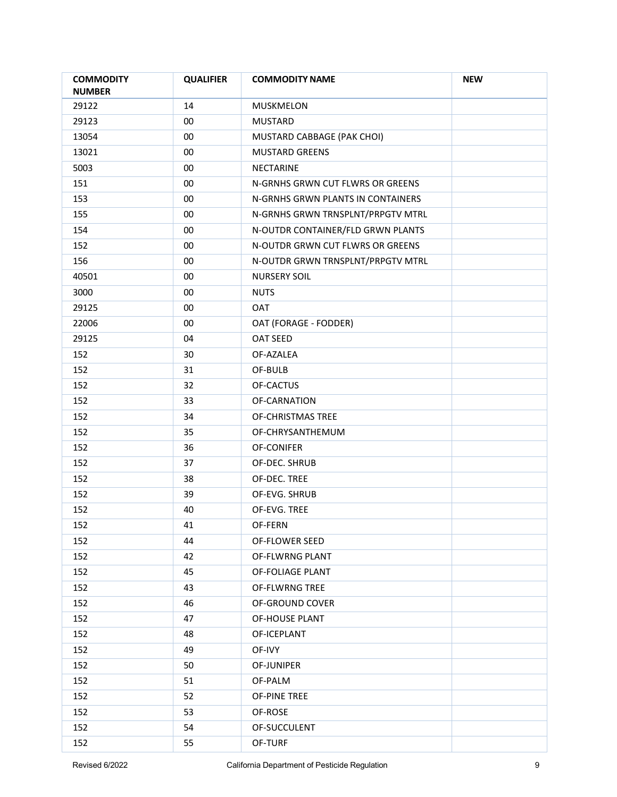| <b>COMMODITY</b><br><b>NUMBER</b> | <b>QUALIFIER</b> | <b>COMMODITY NAME</b>             | <b>NEW</b> |
|-----------------------------------|------------------|-----------------------------------|------------|
| 29122                             | 14               | MUSKMELON                         |            |
| 29123                             | $00\,$           | <b>MUSTARD</b>                    |            |
| 13054                             | $00\,$           | MUSTARD CABBAGE (PAK CHOI)        |            |
| 13021                             | $00\,$           | <b>MUSTARD GREENS</b>             |            |
| 5003                              | $00\,$           | NECTARINE                         |            |
| 151                               | $00\,$           | N-GRNHS GRWN CUT FLWRS OR GREENS  |            |
| 153                               | $00\,$           | N-GRNHS GRWN PLANTS IN CONTAINERS |            |
| 155                               | $00\,$           | N-GRNHS GRWN TRNSPLNT/PRPGTV MTRL |            |
| 154                               | $00\,$           | N-OUTDR CONTAINER/FLD GRWN PLANTS |            |
| 152                               | $00\,$           | N-OUTDR GRWN CUT FLWRS OR GREENS  |            |
| 156                               | $00\,$           | N-OUTDR GRWN TRNSPLNT/PRPGTV MTRL |            |
| 40501                             | $00\,$           | NURSERY SOIL                      |            |
| 3000                              | $00\,$           | <b>NUTS</b>                       |            |
| 29125                             | $00\,$           | <b>OAT</b>                        |            |
| 22006                             | $00\,$           | OAT (FORAGE - FODDER)             |            |
| 29125                             | 04               | <b>OAT SEED</b>                   |            |
| 152                               | 30               | OF-AZALEA                         |            |
| 152                               | 31               | OF-BULB                           |            |
| 152                               | 32               | OF-CACTUS                         |            |
| 152                               | 33               | OF-CARNATION                      |            |
| 152                               | 34               | OF-CHRISTMAS TREE                 |            |
| 152                               | 35               | OF-CHRYSANTHEMUM                  |            |
| 152                               | 36               | OF-CONIFER                        |            |
| 152                               | 37               | OF-DEC. SHRUB                     |            |
| 152                               | 38               | OF-DEC. TREE                      |            |
| 152                               | 39               | OF-EVG. SHRUB                     |            |
| 152                               | 40               | OF-EVG. TREE                      |            |
| 152                               | 41               | OF-FERN                           |            |
| 152                               | 44               | OF-FLOWER SEED                    |            |
| 152                               | 42               | OF-FLWRNG PLANT                   |            |
| 152                               | 45               | OF-FOLIAGE PLANT                  |            |
| 152                               | 43               | <b>OF-FLWRNG TREE</b>             |            |
| 152                               | 46               | OF-GROUND COVER                   |            |
| 152                               | 47               | OF-HOUSE PLANT                    |            |
| 152                               | 48               | OF-ICEPLANT                       |            |
| 152                               | 49               | OF-IVY                            |            |
| 152                               | 50               | OF-JUNIPER                        |            |
| 152                               | 51               | OF-PALM                           |            |
| 152                               | 52               | OF-PINE TREE                      |            |
| 152                               | 53               | OF-ROSE                           |            |
| 152                               | 54               | OF-SUCCULENT                      |            |
|                                   |                  |                                   |            |
| 152                               | 55               | OF-TURF                           |            |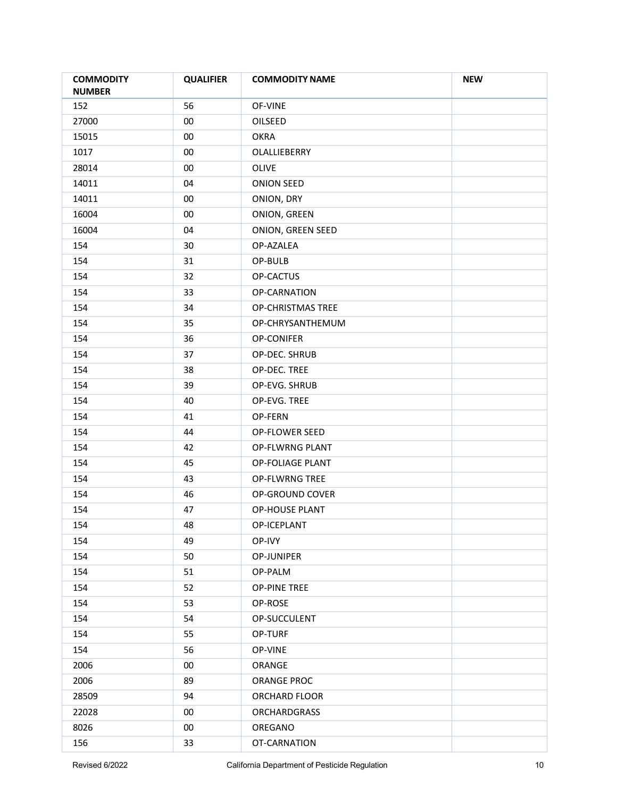| <b>COMMODITY</b><br><b>NUMBER</b> | <b>QUALIFIER</b> | <b>COMMODITY NAME</b> | <b>NEW</b> |
|-----------------------------------|------------------|-----------------------|------------|
| 152                               | 56               | OF-VINE               |            |
| 27000                             | $00\,$           | OILSEED               |            |
| 15015                             | $00\,$           | <b>OKRA</b>           |            |
| 1017                              | $00\,$           | OLALLIEBERRY          |            |
| 28014                             | $00\,$           | OLIVE                 |            |
| 14011                             | 04               | <b>ONION SEED</b>     |            |
| 14011                             | $00\,$           | ONION, DRY            |            |
| 16004                             | $00\,$           | ONION, GREEN          |            |
| 16004                             | 04               | ONION, GREEN SEED     |            |
| 154                               | 30               | OP-AZALEA             |            |
| 154                               | 31               | OP-BULB               |            |
| 154                               | 32               | OP-CACTUS             |            |
| 154                               | 33               | OP-CARNATION          |            |
| 154                               | 34               | OP-CHRISTMAS TREE     |            |
| 154                               | 35               | OP-CHRYSANTHEMUM      |            |
| 154                               | 36               | OP-CONIFER            |            |
| 154                               | 37               | OP-DEC. SHRUB         |            |
| 154                               | 38               | OP-DEC. TREE          |            |
| 154                               | 39               | OP-EVG. SHRUB         |            |
| 154                               | 40               | OP-EVG. TREE          |            |
| 154                               | 41               | OP-FERN               |            |
| 154                               | 44               | OP-FLOWER SEED        |            |
| 154                               | 42               | OP-FLWRNG PLANT       |            |
| 154                               | 45               | OP-FOLIAGE PLANT      |            |
| 154                               | 43               | <b>OP-FLWRNG TREE</b> |            |
| 154                               | 46               | OP-GROUND COVER       |            |
| 154                               | 47               | OP-HOUSE PLANT        |            |
| 154                               | 48               | OP-ICEPLANT           |            |
| 154                               | 49               | OP-IVY                |            |
| 154                               | 50               | OP-JUNIPER            |            |
| 154                               | 51               | OP-PALM               |            |
| 154                               | 52               | <b>OP-PINE TREE</b>   |            |
| 154                               | 53               | OP-ROSE               |            |
| 154                               | 54               | OP-SUCCULENT          |            |
| 154                               | 55               | OP-TURF               |            |
| 154                               | 56               | OP-VINE               |            |
| 2006                              | $00\,$           | ORANGE                |            |
| 2006                              | 89               | ORANGE PROC           |            |
| 28509                             | 94               | ORCHARD FLOOR         |            |
| 22028                             | $00\,$           | <b>ORCHARDGRASS</b>   |            |
| 8026                              | $00\,$           | OREGANO               |            |
| 156                               | 33               | OT-CARNATION          |            |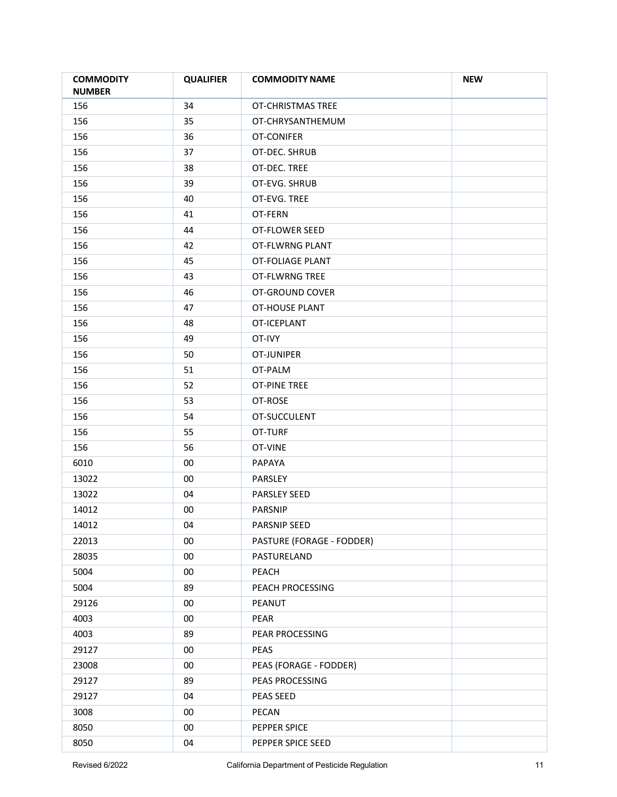| <b>COMMODITY</b><br><b>NUMBER</b> | <b>QUALIFIER</b> | <b>COMMODITY NAME</b>     | <b>NEW</b> |
|-----------------------------------|------------------|---------------------------|------------|
| 156                               | 34               | <b>OT-CHRISTMAS TREE</b>  |            |
| 156                               | 35               | OT-CHRYSANTHEMUM          |            |
| 156                               | 36               | OT-CONIFER                |            |
| 156                               | 37               | OT-DEC. SHRUB             |            |
| 156                               | 38               | OT-DEC. TREE              |            |
| 156                               | 39               | OT-EVG. SHRUB             |            |
| 156                               | 40               | OT-EVG. TREE              |            |
| 156                               | 41               | OT-FERN                   |            |
| 156                               | 44               | OT-FLOWER SEED            |            |
| 156                               | 42               | OT-FLWRNG PLANT           |            |
| 156                               | 45               | OT-FOLIAGE PLANT          |            |
| 156                               | 43               | OT-FLWRNG TREE            |            |
| 156                               | 46               | OT-GROUND COVER           |            |
| 156                               | 47               | OT-HOUSE PLANT            |            |
| 156                               | 48               | OT-ICEPLANT               |            |
| 156                               | 49               | OT-IVY                    |            |
| 156                               | 50               | OT-JUNIPER                |            |
| 156                               | 51               | OT-PALM                   |            |
| 156                               | 52               | <b>OT-PINE TREE</b>       |            |
| 156                               | 53               | OT-ROSE                   |            |
| 156                               | 54               | OT-SUCCULENT              |            |
| 156                               | 55               | OT-TURF                   |            |
| 156                               | 56               | OT-VINE                   |            |
| 6010                              | 00               | PAPAYA                    |            |
| 13022                             | $00\,$           | PARSLEY                   |            |
| 13022                             | 04               | <b>PARSLEY SEED</b>       |            |
| 14012                             | 00               | PARSNIP                   |            |
| 14012                             | 04               | PARSNIP SEED              |            |
| 22013                             | 00               | PASTURE (FORAGE - FODDER) |            |
| 28035                             | $00\,$           | PASTURELAND               |            |
| 5004                              | $00\,$           | PEACH                     |            |
| 5004                              | 89               | PEACH PROCESSING          |            |
| 29126                             | $00\,$           | PEANUT                    |            |
| 4003                              | $00\,$           | PEAR                      |            |
| 4003                              | 89               | PEAR PROCESSING           |            |
| 29127                             | $00\,$           | PEAS                      |            |
| 23008                             | 00               | PEAS (FORAGE - FODDER)    |            |
| 29127                             | 89               | PEAS PROCESSING           |            |
| 29127                             | 04               | PEAS SEED                 |            |
| 3008                              | $00\,$           | PECAN                     |            |
| 8050                              | $00\,$           | PEPPER SPICE              |            |
| 8050                              | 04               | PEPPER SPICE SEED         |            |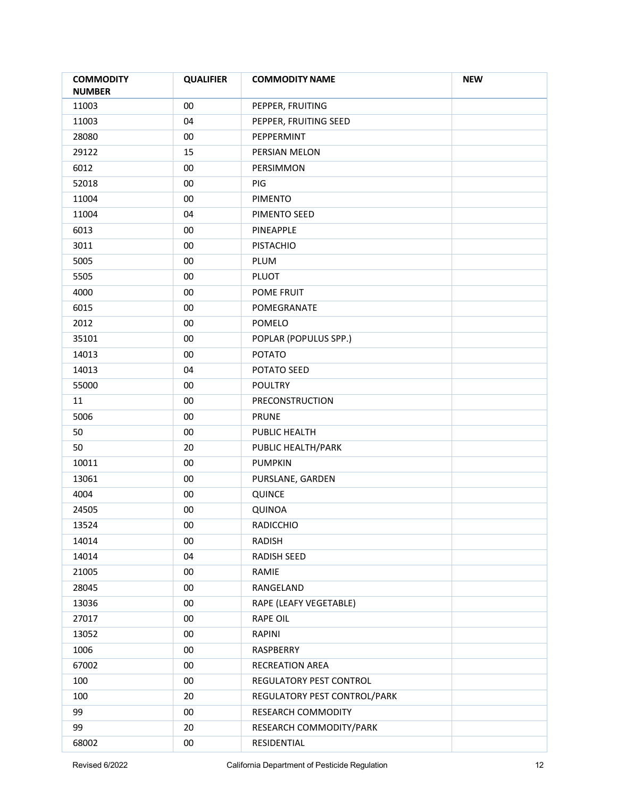| <b>COMMODITY</b><br><b>NUMBER</b> | <b>QUALIFIER</b> | <b>COMMODITY NAME</b>        | <b>NEW</b> |
|-----------------------------------|------------------|------------------------------|------------|
| 11003                             | $00\,$           | PEPPER, FRUITING             |            |
| 11003                             | 04               | PEPPER, FRUITING SEED        |            |
| 28080                             | $00\,$           | PEPPERMINT                   |            |
| 29122                             | 15               | PERSIAN MELON                |            |
| 6012                              | $00\,$           | PERSIMMON                    |            |
| 52018                             | $00\,$           | PIG                          |            |
| 11004                             | 00               | <b>PIMENTO</b>               |            |
| 11004                             | 04               | PIMENTO SEED                 |            |
| 6013                              | 00               | PINEAPPLE                    |            |
| 3011                              | 00               | <b>PISTACHIO</b>             |            |
| 5005                              | $00\,$           | PLUM                         |            |
| 5505                              | $00\,$           | PLUOT                        |            |
| 4000                              | $00\,$           | POME FRUIT                   |            |
| 6015                              | 00               | POMEGRANATE                  |            |
| 2012                              | 00               | POMELO                       |            |
| 35101                             | 00               | POPLAR (POPULUS SPP.)        |            |
| 14013                             | 00               | <b>POTATO</b>                |            |
| 14013                             | 04               | POTATO SEED                  |            |
| 55000                             | $00\,$           | <b>POULTRY</b>               |            |
| 11                                | 00               | PRECONSTRUCTION              |            |
| 5006                              | $00\,$           | <b>PRUNE</b>                 |            |
| 50                                | $00\,$           | PUBLIC HEALTH                |            |
| 50                                | 20               | PUBLIC HEALTH/PARK           |            |
| 10011                             | 00               | <b>PUMPKIN</b>               |            |
| 13061                             | $00\,$           | PURSLANE, GARDEN             |            |
| 4004                              | $00\,$           | QUINCE                       |            |
| 24505                             | 00               | <b>QUINOA</b>                |            |
| 13524                             | $00\,$           | RADICCHIO                    |            |
| 14014                             | 00               | RADISH                       |            |
| 14014                             | 04               | <b>RADISH SEED</b>           |            |
| 21005                             | $00\,$           | RAMIE                        |            |
| 28045                             | $00\,$           | RANGELAND                    |            |
| 13036                             | $00\,$           | RAPE (LEAFY VEGETABLE)       |            |
| 27017                             | $00\,$           | <b>RAPE OIL</b>              |            |
| 13052                             | $00\,$           | RAPINI                       |            |
| 1006                              | $00\,$           | RASPBERRY                    |            |
| 67002                             | $00\,$           | RECREATION AREA              |            |
| 100                               | $00\,$           | REGULATORY PEST CONTROL      |            |
| 100                               | 20               | REGULATORY PEST CONTROL/PARK |            |
| 99                                | $00\,$           | RESEARCH COMMODITY           |            |
| 99                                | 20               | RESEARCH COMMODITY/PARK      |            |
| 68002                             | $00\,$           | RESIDENTIAL                  |            |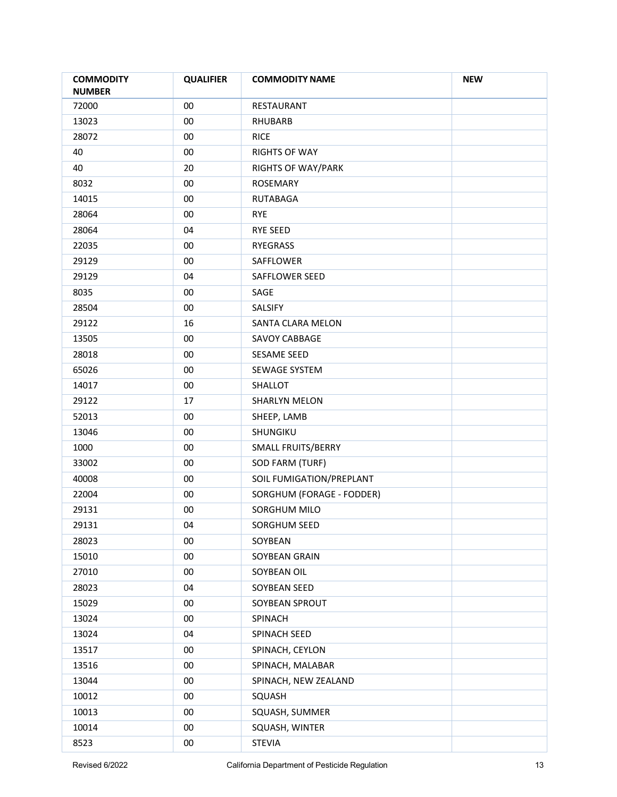| <b>COMMODITY</b><br><b>NUMBER</b> | <b>QUALIFIER</b> | <b>COMMODITY NAME</b>     | <b>NEW</b> |
|-----------------------------------|------------------|---------------------------|------------|
| 72000                             | $00\,$           | RESTAURANT                |            |
| 13023                             | 00               | <b>RHUBARB</b>            |            |
| 28072                             | 00               | <b>RICE</b>               |            |
| 40                                | $00\,$           | <b>RIGHTS OF WAY</b>      |            |
| 40                                | 20               | <b>RIGHTS OF WAY/PARK</b> |            |
| 8032                              | 00               | <b>ROSEMARY</b>           |            |
| 14015                             | $00\,$           | <b>RUTABAGA</b>           |            |
| 28064                             | 00               | <b>RYE</b>                |            |
| 28064                             | 04               | <b>RYE SEED</b>           |            |
| 22035                             | $00\,$           | RYEGRASS                  |            |
| 29129                             | $00\,$           | SAFFLOWER                 |            |
| 29129                             | 04               | SAFFLOWER SEED            |            |
| 8035                              | $00\,$           | SAGE                      |            |
| 28504                             | $00\,$           | SALSIFY                   |            |
| 29122                             | 16               | SANTA CLARA MELON         |            |
| 13505                             | $00\,$           | <b>SAVOY CABBAGE</b>      |            |
| 28018                             | $00\,$           | SESAME SEED               |            |
| 65026                             | $00\,$           | SEWAGE SYSTEM             |            |
| 14017                             | $00\,$           | SHALLOT                   |            |
| 29122                             | 17               | SHARLYN MELON             |            |
| 52013                             | $00\,$           | SHEEP, LAMB               |            |
| 13046                             | $00\,$           | SHUNGIKU                  |            |
| 1000                              | $00\,$           | SMALL FRUITS/BERRY        |            |
| 33002                             | $00\,$           | SOD FARM (TURF)           |            |
| 40008                             | $00\,$           | SOIL FUMIGATION/PREPLANT  |            |
| 22004                             | $00\,$           | SORGHUM (FORAGE - FODDER) |            |
| 29131                             | $00\,$           | SORGHUM MILO              |            |
| 29131                             | 04               | SORGHUM SEED              |            |
| 28023                             | $00\,$           | SOYBEAN                   |            |
| 15010                             | $00\,$           | SOYBEAN GRAIN             |            |
| 27010                             | $00\,$           | SOYBEAN OIL               |            |
| 28023                             | 04               | SOYBEAN SEED              |            |
| 15029                             | $00\,$           | SOYBEAN SPROUT            |            |
| 13024                             | $00\,$           | SPINACH                   |            |
| 13024                             | 04               | SPINACH SEED              |            |
| 13517                             | $00\,$           | SPINACH, CEYLON           |            |
| 13516                             | $00\,$           | SPINACH, MALABAR          |            |
| 13044                             | $00\,$           | SPINACH, NEW ZEALAND      |            |
| 10012                             | $00\,$           | SQUASH                    |            |
| 10013                             | 00               | SQUASH, SUMMER            |            |
| 10014                             | $00\,$           | SQUASH, WINTER            |            |
| 8523                              | $00\,$           | <b>STEVIA</b>             |            |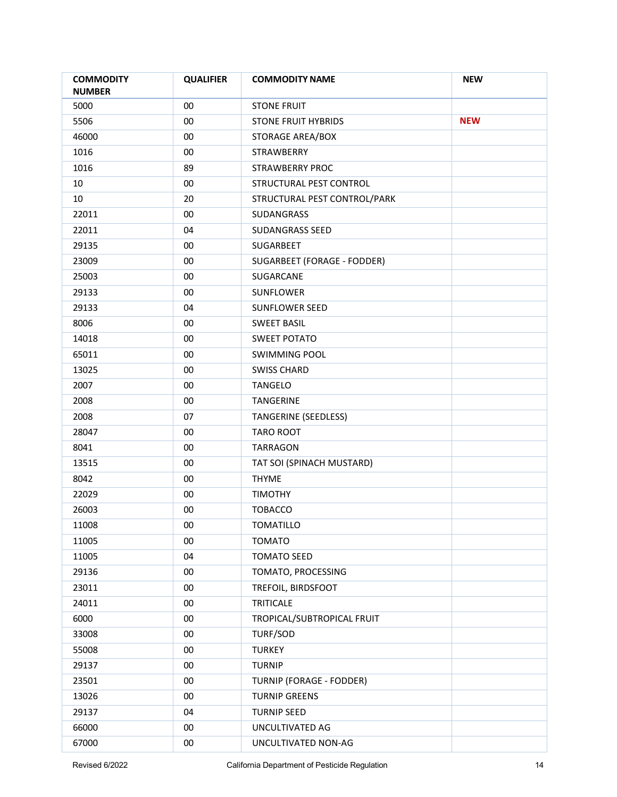| <b>COMMODITY</b><br><b>NUMBER</b> | <b>QUALIFIER</b> | <b>COMMODITY NAME</b>           | <b>NEW</b> |
|-----------------------------------|------------------|---------------------------------|------------|
| 5000                              | $00\,$           | <b>STONE FRUIT</b>              |            |
| 5506                              | $00\,$           | <b>STONE FRUIT HYBRIDS</b>      | <b>NEW</b> |
| 46000                             | $00\,$           | STORAGE AREA/BOX                |            |
| 1016                              | $00\,$           | <b>STRAWBERRY</b>               |            |
| 1016                              | 89               | STRAWBERRY PROC                 |            |
| 10                                | 00               | STRUCTURAL PEST CONTROL         |            |
| 10                                | 20               | STRUCTURAL PEST CONTROL/PARK    |            |
| 22011                             | $00\,$           | SUDANGRASS                      |            |
| 22011                             | 04               | <b>SUDANGRASS SEED</b>          |            |
| 29135                             | 00               | SUGARBEET                       |            |
| 23009                             | $00\,$           | SUGARBEET (FORAGE - FODDER)     |            |
| 25003                             | $00\,$           | SUGARCANE                       |            |
| 29133                             | $00\,$           | <b>SUNFLOWER</b>                |            |
| 29133                             | 04               | SUNFLOWER SEED                  |            |
| 8006                              | $00\,$           | <b>SWEET BASIL</b>              |            |
| 14018                             | $00\,$           | <b>SWEET POTATO</b>             |            |
| 65011                             | $00\,$           | <b>SWIMMING POOL</b>            |            |
| 13025                             | $00\,$           | <b>SWISS CHARD</b>              |            |
| 2007                              | $00\,$           | <b>TANGELO</b>                  |            |
| 2008                              | $00\,$           | <b>TANGERINE</b>                |            |
| 2008                              | 07               | <b>TANGERINE (SEEDLESS)</b>     |            |
| 28047                             | $00\,$           | <b>TARO ROOT</b>                |            |
| 8041                              | $00\,$           | TARRAGON                        |            |
| 13515                             | $00\,$           | TAT SOI (SPINACH MUSTARD)       |            |
| 8042                              | 00               | <b>THYME</b>                    |            |
| 22029                             | $00\,$           | <b>TIMOTHY</b>                  |            |
| 26003                             | 00               | <b>TOBACCO</b>                  |            |
| 11008                             | $00\,$           | TOMATILLO                       |            |
| 11005                             | 00               | <b>TOMATO</b>                   |            |
| 11005                             | 04               | <b>TOMATO SEED</b>              |            |
| 29136                             | $00\,$           | TOMATO, PROCESSING              |            |
| 23011                             | $00\,$           | TREFOIL, BIRDSFOOT              |            |
| 24011                             | 00               | <b>TRITICALE</b>                |            |
| 6000                              | $00\,$           | TROPICAL/SUBTROPICAL FRUIT      |            |
| 33008                             | $00\,$           | TURF/SOD                        |            |
| 55008                             | $00\,$           | <b>TURKEY</b>                   |            |
| 29137                             | $00\,$           | <b>TURNIP</b>                   |            |
| 23501                             | $00\,$           | <b>TURNIP (FORAGE - FODDER)</b> |            |
| 13026                             | $00\,$           | <b>TURNIP GREENS</b>            |            |
| 29137                             | 04               | <b>TURNIP SEED</b>              |            |
| 66000                             | $00\,$           | UNCULTIVATED AG                 |            |
| 67000                             | $00\,$           | UNCULTIVATED NON-AG             |            |